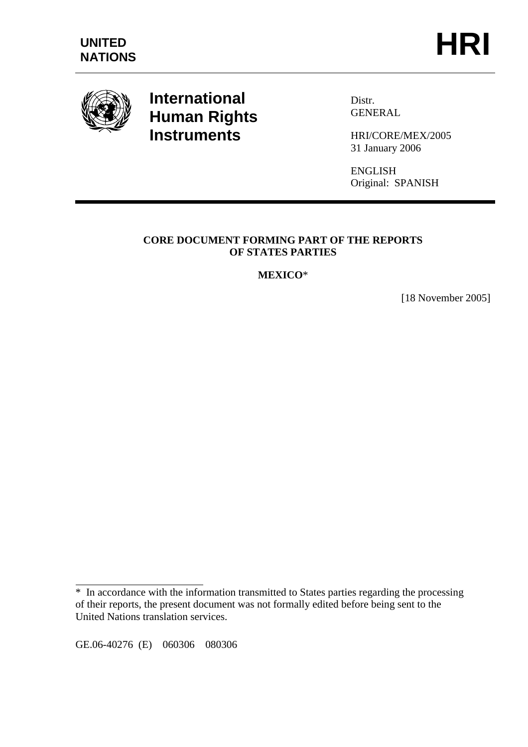

# **International Human Rights Instruments**

Distr. GENERAL

HRI/CORE/MEX/2005 31 January 2006

ENGLISH Original: SPANISH

## **CORE DOCUMENT FORMING PART OF THE REPORTS OF STATES PARTIES**

## **MEXICO**\*

[18 November 2005]

GE.06-40276 (E) 060306 080306

 $\overline{a}$ 

<sup>\*</sup> In accordance with the information transmitted to States parties regarding the processing of their reports, the present document was not formally edited before being sent to the United Nations translation services.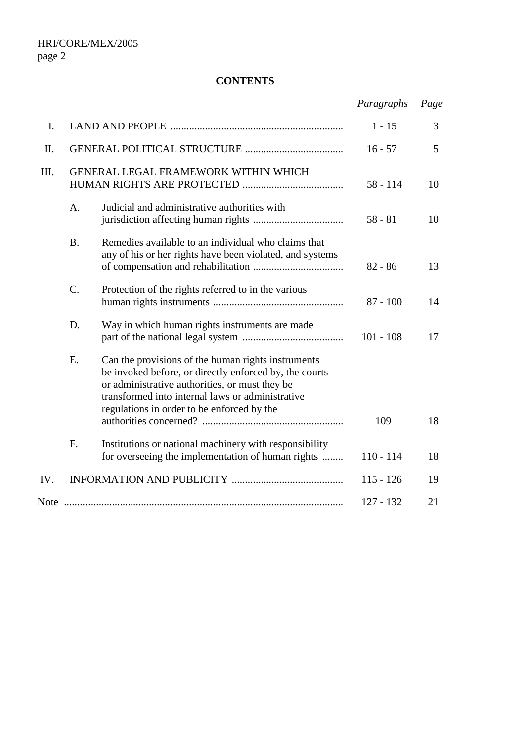## **CONTENTS**

|      |                                      |                                                                                                                                                                                                                                                                  | Paragraphs  | Page |
|------|--------------------------------------|------------------------------------------------------------------------------------------------------------------------------------------------------------------------------------------------------------------------------------------------------------------|-------------|------|
| I.   |                                      |                                                                                                                                                                                                                                                                  | $1 - 15$    | 3    |
| II.  |                                      |                                                                                                                                                                                                                                                                  | $16 - 57$   | 5    |
| III. | GENERAL LEGAL FRAMEWORK WITHIN WHICH |                                                                                                                                                                                                                                                                  | $58 - 114$  | 10   |
|      | A.                                   | Judicial and administrative authorities with                                                                                                                                                                                                                     | $58 - 81$   | 10   |
|      | <b>B.</b>                            | Remedies available to an individual who claims that<br>any of his or her rights have been violated, and systems                                                                                                                                                  | $82 - 86$   | 13   |
|      | $\mathcal{C}$ .                      | Protection of the rights referred to in the various                                                                                                                                                                                                              | $87 - 100$  | 14   |
|      | D.                                   | Way in which human rights instruments are made                                                                                                                                                                                                                   | $101 - 108$ | 17   |
|      | E.                                   | Can the provisions of the human rights instruments<br>be invoked before, or directly enforced by, the courts<br>or administrative authorities, or must they be<br>transformed into internal laws or administrative<br>regulations in order to be enforced by the | 109         | 18   |
|      | F.                                   | Institutions or national machinery with responsibility<br>for overseeing the implementation of human rights                                                                                                                                                      | $110 - 114$ | 18   |
| IV.  |                                      |                                                                                                                                                                                                                                                                  | $115 - 126$ | 19   |
|      |                                      |                                                                                                                                                                                                                                                                  | $127 - 132$ | 21   |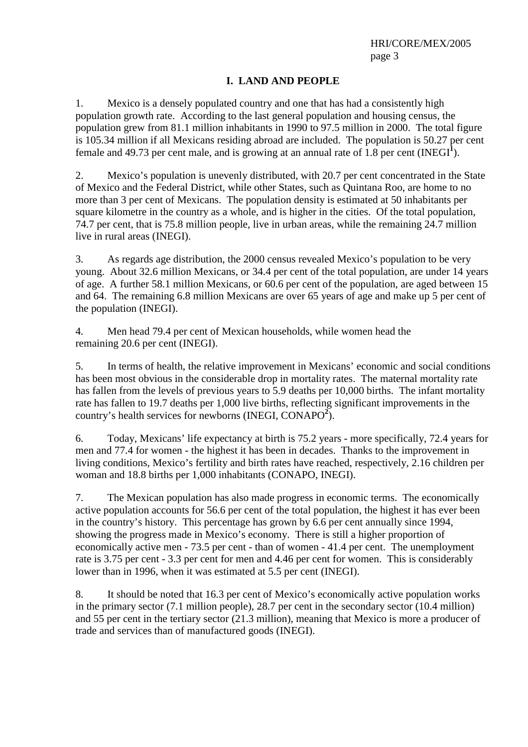## **I. LAND AND PEOPLE**

1. Mexico is a densely populated country and one that has had a consistently high population growth rate. According to the last general population and housing census, the population grew from 81.1 million inhabitants in 1990 to 97.5 million in 2000. The total figure is 105.34 million if all Mexicans residing abroad are included. The population is 50.27 per cent female and 49.73 per cent male, and is growing at an annual rate of  $1.8$  per cent (INEGI<sup>1</sup>).

2. Mexico's population is unevenly distributed, with 20.7 per cent concentrated in the State of Mexico and the Federal District, while other States, such as Quintana Roo, are home to no more than 3 per cent of Mexicans. The population density is estimated at 50 inhabitants per square kilometre in the country as a whole, and is higher in the cities. Of the total population, 74.7 per cent, that is 75.8 million people, live in urban areas, while the remaining 24.7 million live in rural areas (INEGI).

3. As regards age distribution, the 2000 census revealed Mexico's population to be very young. About 32.6 million Mexicans, or 34.4 per cent of the total population, are under 14 years of age. A further 58.1 million Mexicans, or 60.6 per cent of the population, are aged between 15 and 64. The remaining 6.8 million Mexicans are over 65 years of age and make up 5 per cent of the population (INEGI).

4. Men head 79.4 per cent of Mexican households, while women head the remaining 20.6 per cent (INEGI).

5. In terms of health, the relative improvement in Mexicans' economic and social conditions has been most obvious in the considerable drop in mortality rates. The maternal mortality rate has fallen from the levels of previous years to 5.9 deaths per 10,000 births. The infant mortality rate has fallen to 19.7 deaths per 1,000 live births, reflecting significant improvements in the country's health services for newborns (INEGI, CONAPO<sup>2</sup>).

6. Today, Mexicans' life expectancy at birth is 75.2 years - more specifically, 72.4 years for men and 77.4 for women - the highest it has been in decades. Thanks to the improvement in living conditions, Mexico's fertility and birth rates have reached, respectively, 2.16 children per woman and 18.8 births per 1,000 inhabitants (CONAPO, INEGI).

7. The Mexican population has also made progress in economic terms. The economically active population accounts for 56.6 per cent of the total population, the highest it has ever been in the country's history. This percentage has grown by 6.6 per cent annually since 1994, showing the progress made in Mexico's economy. There is still a higher proportion of economically active men - 73.5 per cent - than of women - 41.4 per cent. The unemployment rate is 3.75 per cent - 3.3 per cent for men and 4.46 per cent for women. This is considerably lower than in 1996, when it was estimated at 5.5 per cent (INEGI).

8. It should be noted that 16.3 per cent of Mexico's economically active population works in the primary sector (7.1 million people), 28.7 per cent in the secondary sector (10.4 million) and 55 per cent in the tertiary sector (21.3 million), meaning that Mexico is more a producer of trade and services than of manufactured goods (INEGI).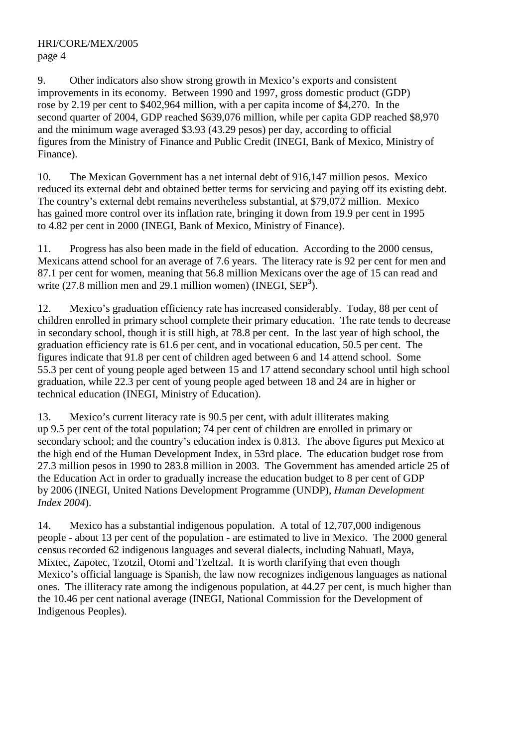9. Other indicators also show strong growth in Mexico's exports and consistent improvements in its economy. Between 1990 and 1997, gross domestic product (GDP) rose by 2.19 per cent to \$402,964 million, with a per capita income of \$4,270. In the second quarter of 2004, GDP reached \$639,076 million, while per capita GDP reached \$8,970 and the minimum wage averaged \$3.93 (43.29 pesos) per day, according to official figures from the Ministry of Finance and Public Credit (INEGI, Bank of Mexico, Ministry of Finance).

10. The Mexican Government has a net internal debt of 916,147 million pesos. Mexico reduced its external debt and obtained better terms for servicing and paying off its existing debt. The country's external debt remains nevertheless substantial, at \$79,072 million. Mexico has gained more control over its inflation rate, bringing it down from 19.9 per cent in 1995 to 4.82 per cent in 2000 (INEGI, Bank of Mexico, Ministry of Finance).

11. Progress has also been made in the field of education. According to the 2000 census, Mexicans attend school for an average of 7.6 years. The literacy rate is 92 per cent for men and 87.1 per cent for women, meaning that 56.8 million Mexicans over the age of 15 can read and write (27.8 million men and 29.1 million women) (INEGI, SEP<sup>3</sup>).

12. Mexico's graduation efficiency rate has increased considerably. Today, 88 per cent of children enrolled in primary school complete their primary education. The rate tends to decrease in secondary school, though it is still high, at 78.8 per cent. In the last year of high school, the graduation efficiency rate is 61.6 per cent, and in vocational education, 50.5 per cent. The figures indicate that 91.8 per cent of children aged between 6 and 14 attend school. Some 55.3 per cent of young people aged between 15 and 17 attend secondary school until high school graduation, while 22.3 per cent of young people aged between 18 and 24 are in higher or technical education (INEGI, Ministry of Education).

13. Mexico's current literacy rate is 90.5 per cent, with adult illiterates making up 9.5 per cent of the total population; 74 per cent of children are enrolled in primary or secondary school; and the country's education index is 0.813. The above figures put Mexico at the high end of the Human Development Index, in 53rd place. The education budget rose from 27.3 million pesos in 1990 to 283.8 million in 2003. The Government has amended article 25 of the Education Act in order to gradually increase the education budget to 8 per cent of GDP by 2006 (INEGI, United Nations Development Programme (UNDP), *Human Development Index 2004*).

14. Mexico has a substantial indigenous population. A total of 12,707,000 indigenous people - about 13 per cent of the population - are estimated to live in Mexico. The 2000 general census recorded 62 indigenous languages and several dialects, including Nahuatl, Maya, Mixtec, Zapotec, Tzotzil, Otomi and Tzeltzal. It is worth clarifying that even though Mexico's official language is Spanish, the law now recognizes indigenous languages as national ones. The illiteracy rate among the indigenous population, at 44.27 per cent, is much higher than the 10.46 per cent national average (INEGI, National Commission for the Development of Indigenous Peoples).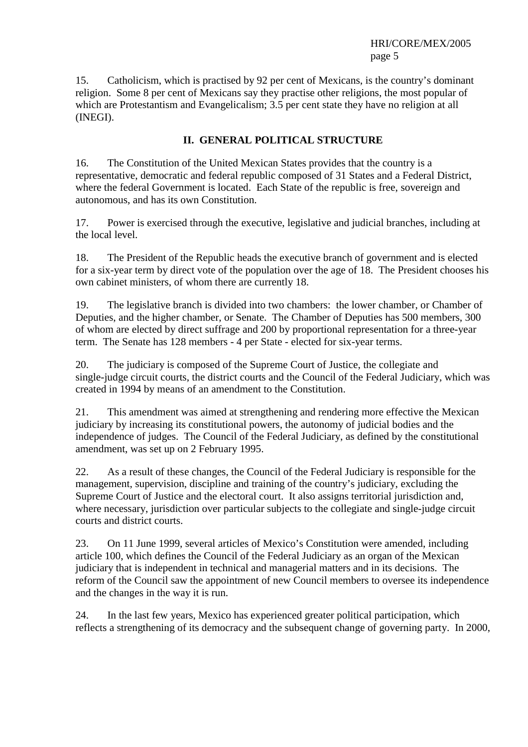15. Catholicism, which is practised by 92 per cent of Mexicans, is the country's dominant religion. Some 8 per cent of Mexicans say they practise other religions, the most popular of which are Protestantism and Evangelicalism; 3.5 per cent state they have no religion at all (INEGI).

## **II. GENERAL POLITICAL STRUCTURE**

16. The Constitution of the United Mexican States provides that the country is a representative, democratic and federal republic composed of 31 States and a Federal District, where the federal Government is located. Each State of the republic is free, sovereign and autonomous, and has its own Constitution.

17. Power is exercised through the executive, legislative and judicial branches, including at the local level.

18. The President of the Republic heads the executive branch of government and is elected for a six-year term by direct vote of the population over the age of 18. The President chooses his own cabinet ministers, of whom there are currently 18.

19. The legislative branch is divided into two chambers: the lower chamber, or Chamber of Deputies, and the higher chamber, or Senate. The Chamber of Deputies has 500 members, 300 of whom are elected by direct suffrage and 200 by proportional representation for a three-year term. The Senate has 128 members - 4 per State - elected for six-year terms.

20. The judiciary is composed of the Supreme Court of Justice, the collegiate and single-judge circuit courts, the district courts and the Council of the Federal Judiciary, which was created in 1994 by means of an amendment to the Constitution.

21. This amendment was aimed at strengthening and rendering more effective the Mexican judiciary by increasing its constitutional powers, the autonomy of judicial bodies and the independence of judges. The Council of the Federal Judiciary, as defined by the constitutional amendment, was set up on 2 February 1995.

22. As a result of these changes, the Council of the Federal Judiciary is responsible for the management, supervision, discipline and training of the country's judiciary, excluding the Supreme Court of Justice and the electoral court. It also assigns territorial jurisdiction and, where necessary, jurisdiction over particular subjects to the collegiate and single-judge circuit courts and district courts.

23. On 11 June 1999, several articles of Mexico's Constitution were amended, including article 100, which defines the Council of the Federal Judiciary as an organ of the Mexican judiciary that is independent in technical and managerial matters and in its decisions. The reform of the Council saw the appointment of new Council members to oversee its independence and the changes in the way it is run.

24. In the last few years, Mexico has experienced greater political participation, which reflects a strengthening of its democracy and the subsequent change of governing party. In 2000,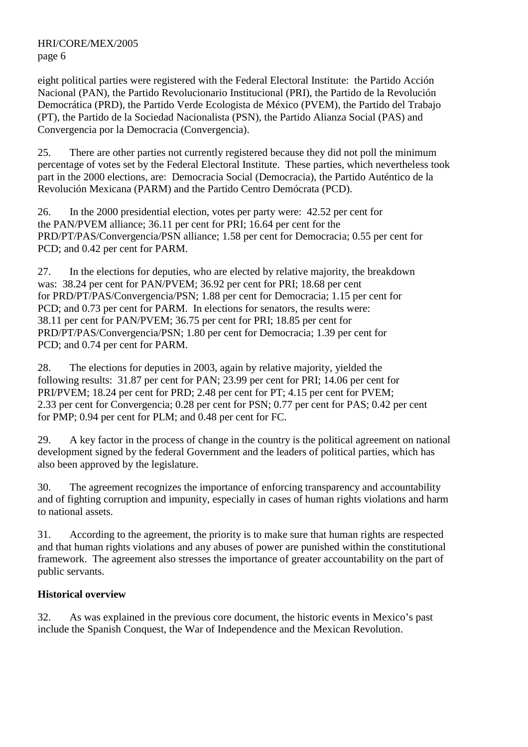eight political parties were registered with the Federal Electoral Institute: the Partido Acción Nacional (PAN), the Partido Revolucionario Institucional (PRI), the Partido de la Revolución Democrática (PRD), the Partido Verde Ecologista de México (PVEM), the Partido del Trabajo (PT), the Partido de la Sociedad Nacionalista (PSN), the Partido Alianza Social (PAS) and Convergencia por la Democracia (Convergencia).

25. There are other parties not currently registered because they did not poll the minimum percentage of votes set by the Federal Electoral Institute. These parties, which nevertheless took part in the 2000 elections, are: Democracia Social (Democracia), the Partido Auténtico de la Revolución Mexicana (PARM) and the Partido Centro Demócrata (PCD).

26. In the 2000 presidential election, votes per party were: 42.52 per cent for the PAN/PVEM alliance; 36.11 per cent for PRI; 16.64 per cent for the PRD/PT/PAS/Convergencia/PSN alliance; 1.58 per cent for Democracia; 0.55 per cent for PCD; and 0.42 per cent for PARM.

27. In the elections for deputies, who are elected by relative majority, the breakdown was: 38.24 per cent for PAN/PVEM; 36.92 per cent for PRI; 18.68 per cent for PRD/PT/PAS/Convergencia/PSN; 1.88 per cent for Democracia; 1.15 per cent for PCD; and 0.73 per cent for PARM. In elections for senators, the results were: 38.11 per cent for PAN/PVEM; 36.75 per cent for PRI; 18.85 per cent for PRD/PT/PAS/Convergencia/PSN; 1.80 per cent for Democracia; 1.39 per cent for PCD; and 0.74 per cent for PARM.

28. The elections for deputies in 2003, again by relative majority, yielded the following results: 31.87 per cent for PAN; 23.99 per cent for PRI; 14.06 per cent for PRI/PVEM; 18.24 per cent for PRD; 2.48 per cent for PT; 4.15 per cent for PVEM; 2.33 per cent for Convergencia; 0.28 per cent for PSN; 0.77 per cent for PAS; 0.42 per cent for PMP; 0.94 per cent for PLM; and 0.48 per cent for FC.

29. A key factor in the process of change in the country is the political agreement on national development signed by the federal Government and the leaders of political parties, which has also been approved by the legislature.

30. The agreement recognizes the importance of enforcing transparency and accountability and of fighting corruption and impunity, especially in cases of human rights violations and harm to national assets.

31. According to the agreement, the priority is to make sure that human rights are respected and that human rights violations and any abuses of power are punished within the constitutional framework. The agreement also stresses the importance of greater accountability on the part of public servants.

## **Historical overview**

32. As was explained in the previous core document, the historic events in Mexico's past include the Spanish Conquest, the War of Independence and the Mexican Revolution.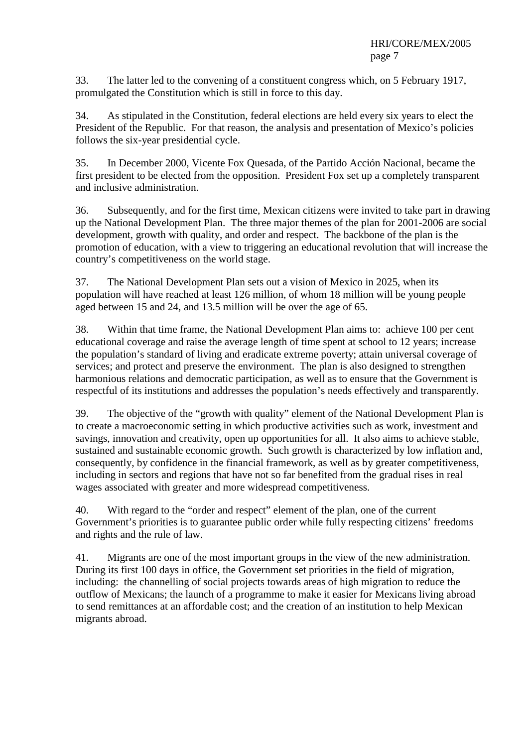33. The latter led to the convening of a constituent congress which, on 5 February 1917, promulgated the Constitution which is still in force to this day.

34. As stipulated in the Constitution, federal elections are held every six years to elect the President of the Republic. For that reason, the analysis and presentation of Mexico's policies follows the six-year presidential cycle.

35. In December 2000, Vicente Fox Quesada, of the Partido Acción Nacional, became the first president to be elected from the opposition. President Fox set up a completely transparent and inclusive administration.

36. Subsequently, and for the first time, Mexican citizens were invited to take part in drawing up the National Development Plan. The three major themes of the plan for 2001-2006 are social development, growth with quality, and order and respect. The backbone of the plan is the promotion of education, with a view to triggering an educational revolution that will increase the country's competitiveness on the world stage.

37. The National Development Plan sets out a vision of Mexico in 2025, when its population will have reached at least 126 million, of whom 18 million will be young people aged between 15 and 24, and 13.5 million will be over the age of 65.

38. Within that time frame, the National Development Plan aims to: achieve 100 per cent educational coverage and raise the average length of time spent at school to 12 years; increase the population's standard of living and eradicate extreme poverty; attain universal coverage of services; and protect and preserve the environment. The plan is also designed to strengthen harmonious relations and democratic participation, as well as to ensure that the Government is respectful of its institutions and addresses the population's needs effectively and transparently.

39. The objective of the "growth with quality" element of the National Development Plan is to create a macroeconomic setting in which productive activities such as work, investment and savings, innovation and creativity, open up opportunities for all. It also aims to achieve stable, sustained and sustainable economic growth. Such growth is characterized by low inflation and, consequently, by confidence in the financial framework, as well as by greater competitiveness, including in sectors and regions that have not so far benefited from the gradual rises in real wages associated with greater and more widespread competitiveness.

40. With regard to the "order and respect" element of the plan, one of the current Government's priorities is to guarantee public order while fully respecting citizens' freedoms and rights and the rule of law.

41. Migrants are one of the most important groups in the view of the new administration. During its first 100 days in office, the Government set priorities in the field of migration, including: the channelling of social projects towards areas of high migration to reduce the outflow of Mexicans; the launch of a programme to make it easier for Mexicans living abroad to send remittances at an affordable cost; and the creation of an institution to help Mexican migrants abroad.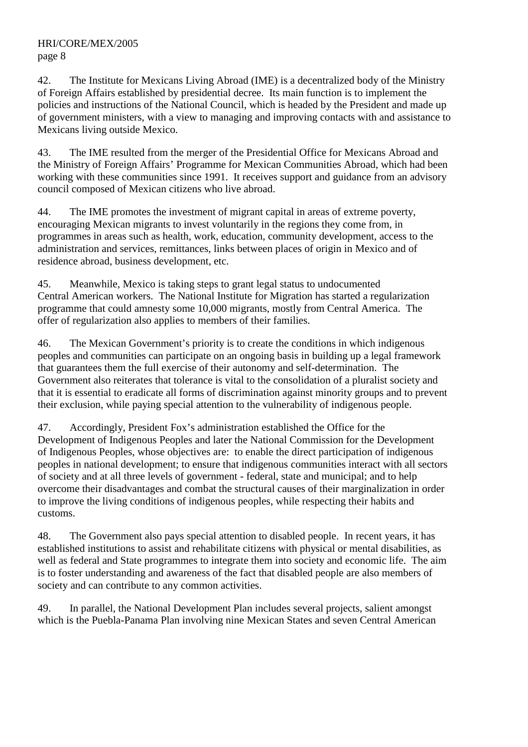42. The Institute for Mexicans Living Abroad (IME) is a decentralized body of the Ministry of Foreign Affairs established by presidential decree. Its main function is to implement the policies and instructions of the National Council, which is headed by the President and made up of government ministers, with a view to managing and improving contacts with and assistance to Mexicans living outside Mexico.

43. The IME resulted from the merger of the Presidential Office for Mexicans Abroad and the Ministry of Foreign Affairs' Programme for Mexican Communities Abroad, which had been working with these communities since 1991. It receives support and guidance from an advisory council composed of Mexican citizens who live abroad.

44. The IME promotes the investment of migrant capital in areas of extreme poverty, encouraging Mexican migrants to invest voluntarily in the regions they come from, in programmes in areas such as health, work, education, community development, access to the administration and services, remittances, links between places of origin in Mexico and of residence abroad, business development, etc.

45. Meanwhile, Mexico is taking steps to grant legal status to undocumented Central American workers. The National Institute for Migration has started a regularization programme that could amnesty some 10,000 migrants, mostly from Central America. The offer of regularization also applies to members of their families.

46. The Mexican Government's priority is to create the conditions in which indigenous peoples and communities can participate on an ongoing basis in building up a legal framework that guarantees them the full exercise of their autonomy and self-determination. The Government also reiterates that tolerance is vital to the consolidation of a pluralist society and that it is essential to eradicate all forms of discrimination against minority groups and to prevent their exclusion, while paying special attention to the vulnerability of indigenous people.

47. Accordingly, President Fox's administration established the Office for the Development of Indigenous Peoples and later the National Commission for the Development of Indigenous Peoples, whose objectives are: to enable the direct participation of indigenous peoples in national development; to ensure that indigenous communities interact with all sectors of society and at all three levels of government - federal, state and municipal; and to help overcome their disadvantages and combat the structural causes of their marginalization in order to improve the living conditions of indigenous peoples, while respecting their habits and customs.

48. The Government also pays special attention to disabled people. In recent years, it has established institutions to assist and rehabilitate citizens with physical or mental disabilities, as well as federal and State programmes to integrate them into society and economic life. The aim is to foster understanding and awareness of the fact that disabled people are also members of society and can contribute to any common activities.

49. In parallel, the National Development Plan includes several projects, salient amongst which is the Puebla-Panama Plan involving nine Mexican States and seven Central American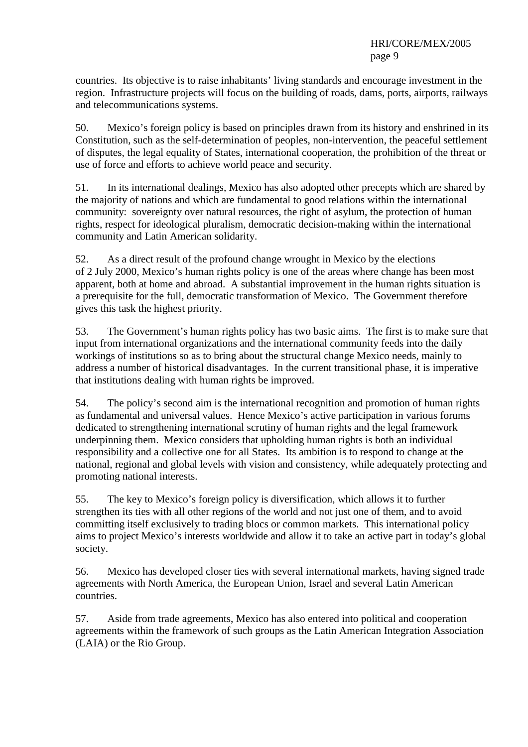countries. Its objective is to raise inhabitants' living standards and encourage investment in the region. Infrastructure projects will focus on the building of roads, dams, ports, airports, railways and telecommunications systems.

50. Mexico's foreign policy is based on principles drawn from its history and enshrined in its Constitution, such as the self-determination of peoples, non-intervention, the peaceful settlement of disputes, the legal equality of States, international cooperation, the prohibition of the threat or use of force and efforts to achieve world peace and security.

51. In its international dealings, Mexico has also adopted other precepts which are shared by the majority of nations and which are fundamental to good relations within the international community: sovereignty over natural resources, the right of asylum, the protection of human rights, respect for ideological pluralism, democratic decision-making within the international community and Latin American solidarity.

52. As a direct result of the profound change wrought in Mexico by the elections of 2 July 2000, Mexico's human rights policy is one of the areas where change has been most apparent, both at home and abroad. A substantial improvement in the human rights situation is a prerequisite for the full, democratic transformation of Mexico. The Government therefore gives this task the highest priority.

53. The Government's human rights policy has two basic aims. The first is to make sure that input from international organizations and the international community feeds into the daily workings of institutions so as to bring about the structural change Mexico needs, mainly to address a number of historical disadvantages. In the current transitional phase, it is imperative that institutions dealing with human rights be improved.

54. The policy's second aim is the international recognition and promotion of human rights as fundamental and universal values. Hence Mexico's active participation in various forums dedicated to strengthening international scrutiny of human rights and the legal framework underpinning them. Mexico considers that upholding human rights is both an individual responsibility and a collective one for all States. Its ambition is to respond to change at the national, regional and global levels with vision and consistency, while adequately protecting and promoting national interests.

55. The key to Mexico's foreign policy is diversification, which allows it to further strengthen its ties with all other regions of the world and not just one of them, and to avoid committing itself exclusively to trading blocs or common markets. This international policy aims to project Mexico's interests worldwide and allow it to take an active part in today's global society.

56. Mexico has developed closer ties with several international markets, having signed trade agreements with North America, the European Union, Israel and several Latin American countries.

57. Aside from trade agreements, Mexico has also entered into political and cooperation agreements within the framework of such groups as the Latin American Integration Association (LAIA) or the Rio Group.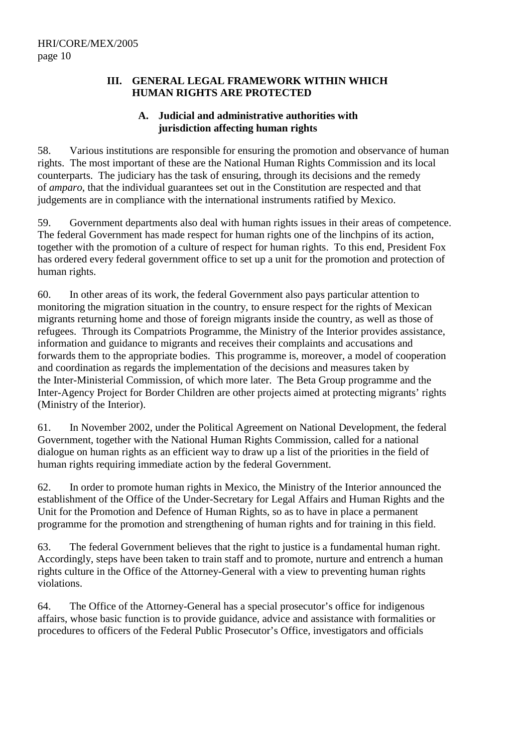#### **III. GENERAL LEGAL FRAMEWORK WITHIN WHICH HUMAN RIGHTS ARE PROTECTED**

## **A. Judicial and administrative authorities with jurisdiction affecting human rights**

58. Various institutions are responsible for ensuring the promotion and observance of human rights. The most important of these are the National Human Rights Commission and its local counterparts. The judiciary has the task of ensuring, through its decisions and the remedy of *amparo*, that the individual guarantees set out in the Constitution are respected and that judgements are in compliance with the international instruments ratified by Mexico.

59. Government departments also deal with human rights issues in their areas of competence. The federal Government has made respect for human rights one of the linchpins of its action, together with the promotion of a culture of respect for human rights. To this end, President Fox has ordered every federal government office to set up a unit for the promotion and protection of human rights.

60. In other areas of its work, the federal Government also pays particular attention to monitoring the migration situation in the country, to ensure respect for the rights of Mexican migrants returning home and those of foreign migrants inside the country, as well as those of refugees. Through its Compatriots Programme, the Ministry of the Interior provides assistance, information and guidance to migrants and receives their complaints and accusations and forwards them to the appropriate bodies. This programme is, moreover, a model of cooperation and coordination as regards the implementation of the decisions and measures taken by the Inter-Ministerial Commission, of which more later. The Beta Group programme and the Inter-Agency Project for Border Children are other projects aimed at protecting migrants' rights (Ministry of the Interior).

61. In November 2002, under the Political Agreement on National Development, the federal Government, together with the National Human Rights Commission, called for a national dialogue on human rights as an efficient way to draw up a list of the priorities in the field of human rights requiring immediate action by the federal Government.

62. In order to promote human rights in Mexico, the Ministry of the Interior announced the establishment of the Office of the Under-Secretary for Legal Affairs and Human Rights and the Unit for the Promotion and Defence of Human Rights, so as to have in place a permanent programme for the promotion and strengthening of human rights and for training in this field.

63. The federal Government believes that the right to justice is a fundamental human right. Accordingly, steps have been taken to train staff and to promote, nurture and entrench a human rights culture in the Office of the Attorney-General with a view to preventing human rights violations.

64. The Office of the Attorney-General has a special prosecutor's office for indigenous affairs, whose basic function is to provide guidance, advice and assistance with formalities or procedures to officers of the Federal Public Prosecutor's Office, investigators and officials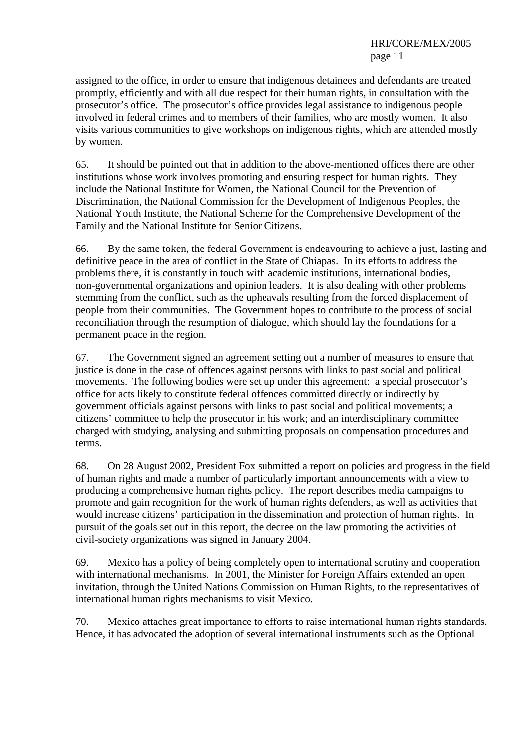assigned to the office, in order to ensure that indigenous detainees and defendants are treated promptly, efficiently and with all due respect for their human rights, in consultation with the prosecutor's office. The prosecutor's office provides legal assistance to indigenous people involved in federal crimes and to members of their families, who are mostly women. It also visits various communities to give workshops on indigenous rights, which are attended mostly by women.

65. It should be pointed out that in addition to the above-mentioned offices there are other institutions whose work involves promoting and ensuring respect for human rights. They include the National Institute for Women, the National Council for the Prevention of Discrimination, the National Commission for the Development of Indigenous Peoples, the National Youth Institute, the National Scheme for the Comprehensive Development of the Family and the National Institute for Senior Citizens.

66. By the same token, the federal Government is endeavouring to achieve a just, lasting and definitive peace in the area of conflict in the State of Chiapas. In its efforts to address the problems there, it is constantly in touch with academic institutions, international bodies, non-governmental organizations and opinion leaders. It is also dealing with other problems stemming from the conflict, such as the upheavals resulting from the forced displacement of people from their communities. The Government hopes to contribute to the process of social reconciliation through the resumption of dialogue, which should lay the foundations for a permanent peace in the region.

67. The Government signed an agreement setting out a number of measures to ensure that justice is done in the case of offences against persons with links to past social and political movements. The following bodies were set up under this agreement: a special prosecutor's office for acts likely to constitute federal offences committed directly or indirectly by government officials against persons with links to past social and political movements; a citizens' committee to help the prosecutor in his work; and an interdisciplinary committee charged with studying, analysing and submitting proposals on compensation procedures and terms.

68. On 28 August 2002, President Fox submitted a report on policies and progress in the field of human rights and made a number of particularly important announcements with a view to producing a comprehensive human rights policy. The report describes media campaigns to promote and gain recognition for the work of human rights defenders, as well as activities that would increase citizens' participation in the dissemination and protection of human rights. In pursuit of the goals set out in this report, the decree on the law promoting the activities of civil-society organizations was signed in January 2004.

69. Mexico has a policy of being completely open to international scrutiny and cooperation with international mechanisms. In 2001, the Minister for Foreign Affairs extended an open invitation, through the United Nations Commission on Human Rights, to the representatives of international human rights mechanisms to visit Mexico.

70. Mexico attaches great importance to efforts to raise international human rights standards. Hence, it has advocated the adoption of several international instruments such as the Optional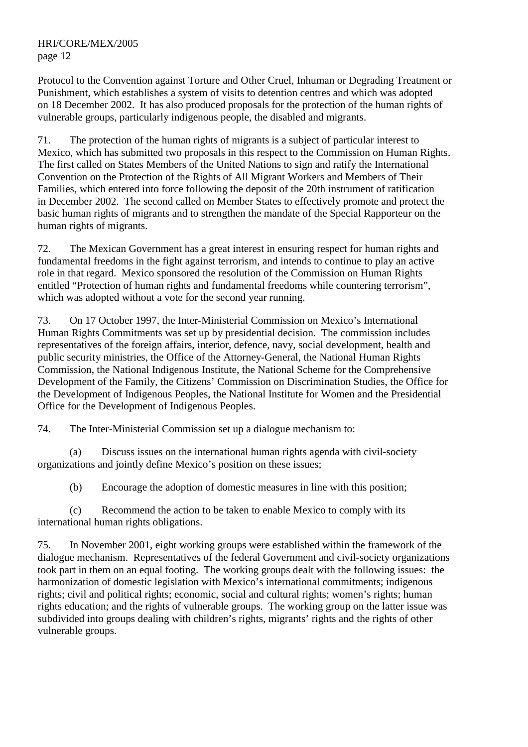Protocol to the Convention against Torture and Other Cruel, Inhuman or Degrading Treatment or Punishment, which establishes a system of visits to detention centres and which was adopted on 18 December 2002. It has also produced proposals for the protection of the human rights of vulnerable groups, particularly indigenous people, the disabled and migrants.

71. The protection of the human rights of migrants is a subject of particular interest to Mexico, which has submitted two proposals in this respect to the Commission on Human Rights. The first called on States Members of the United Nations to sign and ratify the International Convention on the Protection of the Rights of All Migrant Workers and Members of Their Families, which entered into force following the deposit of the 20th instrument of ratification in December 2002. The second called on Member States to effectively promote and protect the basic human rights of migrants and to strengthen the mandate of the Special Rapporteur on the human rights of migrants.

72. The Mexican Government has a great interest in ensuring respect for human rights and fundamental freedoms in the fight against terrorism, and intends to continue to play an active role in that regard. Mexico sponsored the resolution of the Commission on Human Rights entitled "Protection of human rights and fundamental freedoms while countering terrorism", which was adopted without a vote for the second year running.

73. On 17 October 1997, the Inter-Ministerial Commission on Mexico's International Human Rights Commitments was set up by presidential decision. The commission includes representatives of the foreign affairs, interior, defence, navy, social development, health and public security ministries, the Office of the Attorney-General, the National Human Rights Commission, the National Indigenous Institute, the National Scheme for the Comprehensive Development of the Family, the Citizens' Commission on Discrimination Studies, the Office for the Development of Indigenous Peoples, the National Institute for Women and the Presidential Office for the Development of Indigenous Peoples.

74. The Inter-Ministerial Commission set up a dialogue mechanism to:

 (a) Discuss issues on the international human rights agenda with civil-society organizations and jointly define Mexico's position on these issues;

(b) Encourage the adoption of domestic measures in line with this position;

 (c) Recommend the action to be taken to enable Mexico to comply with its international human rights obligations.

75. In November 2001, eight working groups were established within the framework of the dialogue mechanism. Representatives of the federal Government and civil-society organizations took part in them on an equal footing. The working groups dealt with the following issues: the harmonization of domestic legislation with Mexico's international commitments; indigenous rights; civil and political rights; economic, social and cultural rights; women's rights; human rights education; and the rights of vulnerable groups. The working group on the latter issue was subdivided into groups dealing with children's rights, migrants' rights and the rights of other vulnerable groups.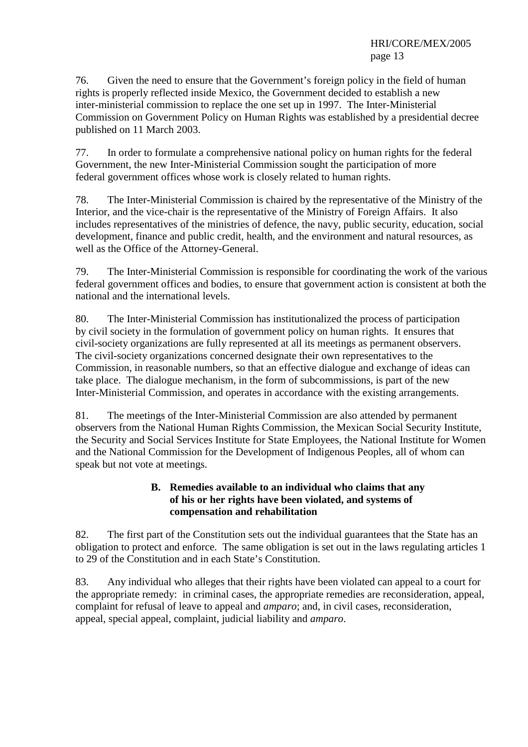76. Given the need to ensure that the Government's foreign policy in the field of human rights is properly reflected inside Mexico, the Government decided to establish a new inter-ministerial commission to replace the one set up in 1997. The Inter-Ministerial Commission on Government Policy on Human Rights was established by a presidential decree published on 11 March 2003.

77. In order to formulate a comprehensive national policy on human rights for the federal Government, the new Inter-Ministerial Commission sought the participation of more federal government offices whose work is closely related to human rights.

78. The Inter-Ministerial Commission is chaired by the representative of the Ministry of the Interior, and the vice-chair is the representative of the Ministry of Foreign Affairs. It also includes representatives of the ministries of defence, the navy, public security, education, social development, finance and public credit, health, and the environment and natural resources, as well as the Office of the Attorney-General.

79. The Inter-Ministerial Commission is responsible for coordinating the work of the various federal government offices and bodies, to ensure that government action is consistent at both the national and the international levels.

80. The Inter-Ministerial Commission has institutionalized the process of participation by civil society in the formulation of government policy on human rights. It ensures that civil-society organizations are fully represented at all its meetings as permanent observers. The civil-society organizations concerned designate their own representatives to the Commission, in reasonable numbers, so that an effective dialogue and exchange of ideas can take place. The dialogue mechanism, in the form of subcommissions, is part of the new Inter-Ministerial Commission, and operates in accordance with the existing arrangements.

81. The meetings of the Inter-Ministerial Commission are also attended by permanent observers from the National Human Rights Commission, the Mexican Social Security Institute, the Security and Social Services Institute for State Employees, the National Institute for Women and the National Commission for the Development of Indigenous Peoples, all of whom can speak but not vote at meetings.

## **B. Remedies available to an individual who claims that any of his or her rights have been violated, and systems of compensation and rehabilitation**

82. The first part of the Constitution sets out the individual guarantees that the State has an obligation to protect and enforce. The same obligation is set out in the laws regulating articles 1 to 29 of the Constitution and in each State's Constitution.

83. Any individual who alleges that their rights have been violated can appeal to a court for the appropriate remedy: in criminal cases, the appropriate remedies are reconsideration, appeal, complaint for refusal of leave to appeal and *amparo*; and, in civil cases, reconsideration, appeal, special appeal, complaint, judicial liability and *amparo*.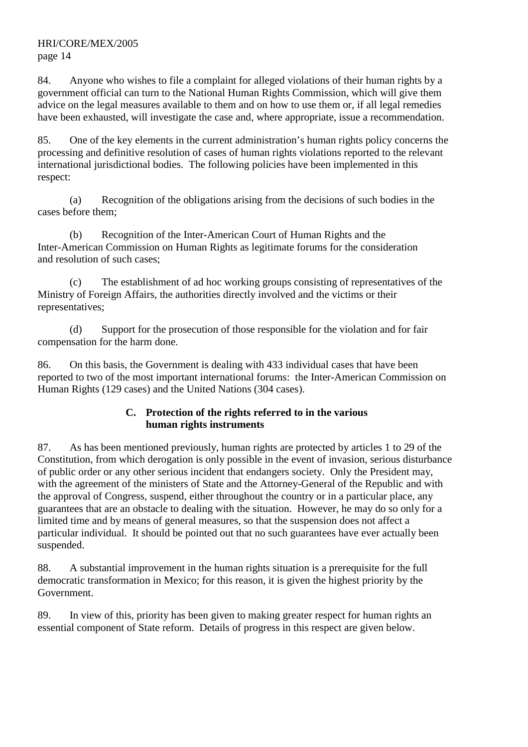84. Anyone who wishes to file a complaint for alleged violations of their human rights by a government official can turn to the National Human Rights Commission, which will give them advice on the legal measures available to them and on how to use them or, if all legal remedies have been exhausted, will investigate the case and, where appropriate, issue a recommendation.

85. One of the key elements in the current administration's human rights policy concerns the processing and definitive resolution of cases of human rights violations reported to the relevant international jurisdictional bodies. The following policies have been implemented in this respect:

 (a) Recognition of the obligations arising from the decisions of such bodies in the cases before them;

 (b) Recognition of the Inter-American Court of Human Rights and the Inter-American Commission on Human Rights as legitimate forums for the consideration and resolution of such cases;

 (c) The establishment of ad hoc working groups consisting of representatives of the Ministry of Foreign Affairs, the authorities directly involved and the victims or their representatives;

 (d) Support for the prosecution of those responsible for the violation and for fair compensation for the harm done.

86. On this basis, the Government is dealing with 433 individual cases that have been reported to two of the most important international forums: the Inter-American Commission on Human Rights (129 cases) and the United Nations (304 cases).

## **C. Protection of the rights referred to in the various human rights instruments**

87. As has been mentioned previously, human rights are protected by articles 1 to 29 of the Constitution, from which derogation is only possible in the event of invasion, serious disturbance of public order or any other serious incident that endangers society. Only the President may, with the agreement of the ministers of State and the Attorney-General of the Republic and with the approval of Congress, suspend, either throughout the country or in a particular place, any guarantees that are an obstacle to dealing with the situation. However, he may do so only for a limited time and by means of general measures, so that the suspension does not affect a particular individual. It should be pointed out that no such guarantees have ever actually been suspended.

88. A substantial improvement in the human rights situation is a prerequisite for the full democratic transformation in Mexico; for this reason, it is given the highest priority by the Government.

89. In view of this, priority has been given to making greater respect for human rights an essential component of State reform. Details of progress in this respect are given below.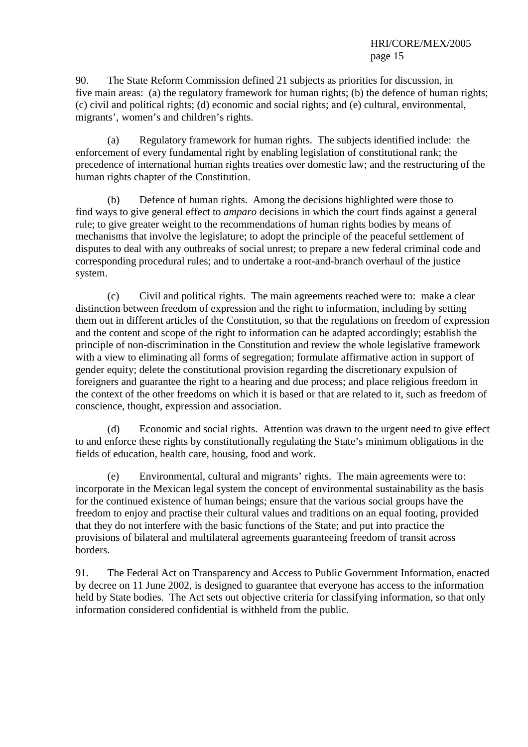90. The State Reform Commission defined 21 subjects as priorities for discussion, in five main areas: (a) the regulatory framework for human rights; (b) the defence of human rights; (c) civil and political rights; (d) economic and social rights; and (e) cultural, environmental, migrants', women's and children's rights.

 (a) Regulatory framework for human rights. The subjects identified include: the enforcement of every fundamental right by enabling legislation of constitutional rank; the precedence of international human rights treaties over domestic law; and the restructuring of the human rights chapter of the Constitution.

 (b) Defence of human rights. Among the decisions highlighted were those to find ways to give general effect to *amparo* decisions in which the court finds against a general rule; to give greater weight to the recommendations of human rights bodies by means of mechanisms that involve the legislature; to adopt the principle of the peaceful settlement of disputes to deal with any outbreaks of social unrest; to prepare a new federal criminal code and corresponding procedural rules; and to undertake a root-and-branch overhaul of the justice system.

 (c) Civil and political rights. The main agreements reached were to: make a clear distinction between freedom of expression and the right to information, including by setting them out in different articles of the Constitution, so that the regulations on freedom of expression and the content and scope of the right to information can be adapted accordingly; establish the principle of non-discrimination in the Constitution and review the whole legislative framework with a view to eliminating all forms of segregation; formulate affirmative action in support of gender equity; delete the constitutional provision regarding the discretionary expulsion of foreigners and guarantee the right to a hearing and due process; and place religious freedom in the context of the other freedoms on which it is based or that are related to it, such as freedom of conscience, thought, expression and association.

(d) Economic and social rights. Attention was drawn to the urgent need to give effect to and enforce these rights by constitutionally regulating the State's minimum obligations in the fields of education, health care, housing, food and work.

(e) Environmental, cultural and migrants' rights. The main agreements were to: incorporate in the Mexican legal system the concept of environmental sustainability as the basis for the continued existence of human beings; ensure that the various social groups have the freedom to enjoy and practise their cultural values and traditions on an equal footing, provided that they do not interfere with the basic functions of the State; and put into practice the provisions of bilateral and multilateral agreements guaranteeing freedom of transit across borders.

91. The Federal Act on Transparency and Access to Public Government Information, enacted by decree on 11 June 2002, is designed to guarantee that everyone has access to the information held by State bodies. The Act sets out objective criteria for classifying information, so that only information considered confidential is withheld from the public.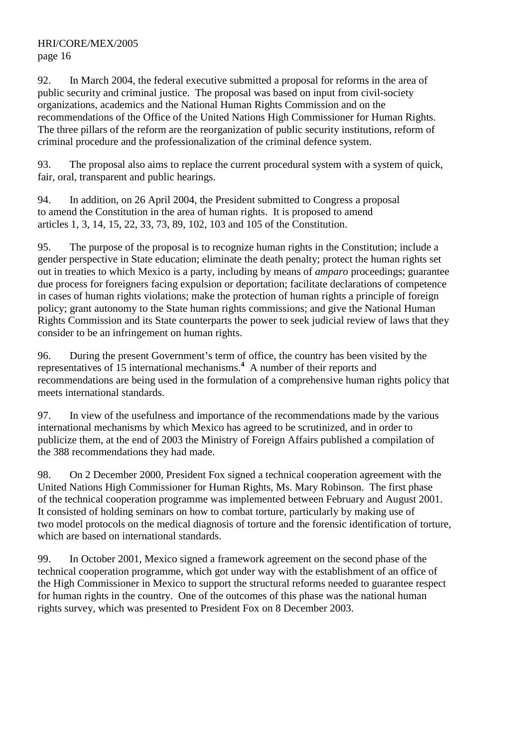92. In March 2004, the federal executive submitted a proposal for reforms in the area of public security and criminal justice. The proposal was based on input from civil-society organizations, academics and the National Human Rights Commission and on the recommendations of the Office of the United Nations High Commissioner for Human Rights. The three pillars of the reform are the reorganization of public security institutions, reform of criminal procedure and the professionalization of the criminal defence system.

93. The proposal also aims to replace the current procedural system with a system of quick, fair, oral, transparent and public hearings.

94. In addition, on 26 April 2004, the President submitted to Congress a proposal to amend the Constitution in the area of human rights. It is proposed to amend articles 1, 3, 14, 15, 22, 33, 73, 89, 102, 103 and 105 of the Constitution.

95. The purpose of the proposal is to recognize human rights in the Constitution; include a gender perspective in State education; eliminate the death penalty; protect the human rights set out in treaties to which Mexico is a party, including by means of *amparo* proceedings; guarantee due process for foreigners facing expulsion or deportation; facilitate declarations of competence in cases of human rights violations; make the protection of human rights a principle of foreign policy; grant autonomy to the State human rights commissions; and give the National Human Rights Commission and its State counterparts the power to seek judicial review of laws that they consider to be an infringement on human rights.

96. During the present Government's term of office, the country has been visited by the representatives of 15 international mechanisms.<sup>4</sup> A number of their reports and recommendations are being used in the formulation of a comprehensive human rights policy that meets international standards.

97. In view of the usefulness and importance of the recommendations made by the various international mechanisms by which Mexico has agreed to be scrutinized, and in order to publicize them, at the end of 2003 the Ministry of Foreign Affairs published a compilation of the 388 recommendations they had made.

98. On 2 December 2000, President Fox signed a technical cooperation agreement with the United Nations High Commissioner for Human Rights, Ms. Mary Robinson. The first phase of the technical cooperation programme was implemented between February and August 2001. It consisted of holding seminars on how to combat torture, particularly by making use of two model protocols on the medical diagnosis of torture and the forensic identification of torture, which are based on international standards.

99. In October 2001, Mexico signed a framework agreement on the second phase of the technical cooperation programme, which got under way with the establishment of an office of the High Commissioner in Mexico to support the structural reforms needed to guarantee respect for human rights in the country. One of the outcomes of this phase was the national human rights survey, which was presented to President Fox on 8 December 2003.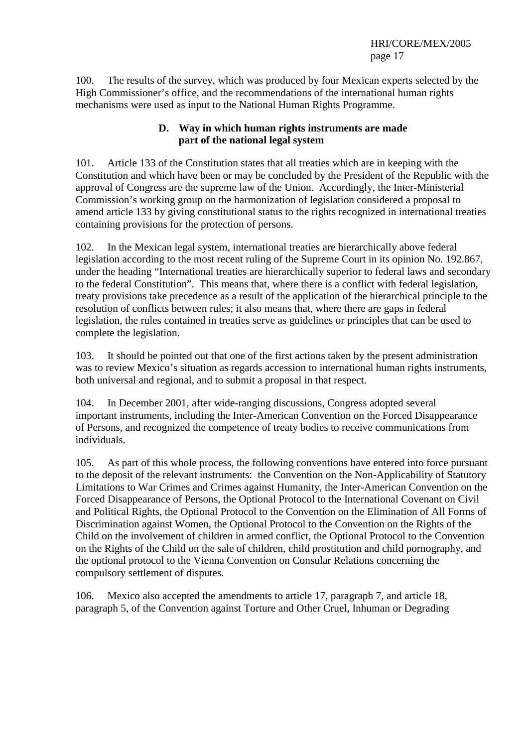100. The results of the survey, which was produced by four Mexican experts selected by the High Commissioner's office, and the recommendations of the international human rights mechanisms were used as input to the National Human Rights Programme.

## **D. Way in which human rights instruments are made part of the national legal system**

101. Article 133 of the Constitution states that all treaties which are in keeping with the Constitution and which have been or may be concluded by the President of the Republic with the approval of Congress are the supreme law of the Union. Accordingly, the Inter-Ministerial Commission's working group on the harmonization of legislation considered a proposal to amend article 133 by giving constitutional status to the rights recognized in international treaties containing provisions for the protection of persons.

102. In the Mexican legal system, international treaties are hierarchically above federal legislation according to the most recent ruling of the Supreme Court in its opinion No. 192.867, under the heading "International treaties are hierarchically superior to federal laws and secondary to the federal Constitution". This means that, where there is a conflict with federal legislation, treaty provisions take precedence as a result of the application of the hierarchical principle to the resolution of conflicts between rules; it also means that, where there are gaps in federal legislation, the rules contained in treaties serve as guidelines or principles that can be used to complete the legislation.

103. It should be pointed out that one of the first actions taken by the present administration was to review Mexico's situation as regards accession to international human rights instruments, both universal and regional, and to submit a proposal in that respect.

104. In December 2001, after wide-ranging discussions, Congress adopted several important instruments, including the Inter-American Convention on the Forced Disappearance of Persons, and recognized the competence of treaty bodies to receive communications from individuals.

105. As part of this whole process, the following conventions have entered into force pursuant to the deposit of the relevant instruments: the Convention on the Non-Applicability of Statutory Limitations to War Crimes and Crimes against Humanity, the Inter-American Convention on the Forced Disappearance of Persons, the Optional Protocol to the International Covenant on Civil and Political Rights, the Optional Protocol to the Convention on the Elimination of All Forms of Discrimination against Women, the Optional Protocol to the Convention on the Rights of the Child on the involvement of children in armed conflict, the Optional Protocol to the Convention on the Rights of the Child on the sale of children, child prostitution and child pornography, and the optional protocol to the Vienna Convention on Consular Relations concerning the compulsory settlement of disputes.

106. Mexico also accepted the amendments to article 17, paragraph 7, and article 18, paragraph 5, of the Convention against Torture and Other Cruel, Inhuman or Degrading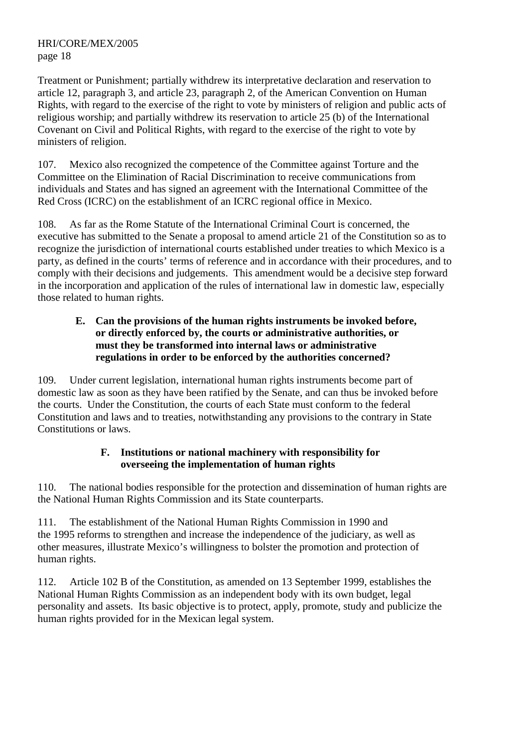Treatment or Punishment; partially withdrew its interpretative declaration and reservation to article 12, paragraph 3, and article 23, paragraph 2, of the American Convention on Human Rights, with regard to the exercise of the right to vote by ministers of religion and public acts of religious worship; and partially withdrew its reservation to article 25 (b) of the International Covenant on Civil and Political Rights, with regard to the exercise of the right to vote by ministers of religion.

107. Mexico also recognized the competence of the Committee against Torture and the Committee on the Elimination of Racial Discrimination to receive communications from individuals and States and has signed an agreement with the International Committee of the Red Cross (ICRC) on the establishment of an ICRC regional office in Mexico.

108. As far as the Rome Statute of the International Criminal Court is concerned, the executive has submitted to the Senate a proposal to amend article 21 of the Constitution so as to recognize the jurisdiction of international courts established under treaties to which Mexico is a party, as defined in the courts' terms of reference and in accordance with their procedures, and to comply with their decisions and judgements. This amendment would be a decisive step forward in the incorporation and application of the rules of international law in domestic law, especially those related to human rights.

#### **E. Can the provisions of the human rights instruments be invoked before, or directly enforced by, the courts or administrative authorities, or must they be transformed into internal laws or administrative regulations in order to be enforced by the authorities concerned?**

109. Under current legislation, international human rights instruments become part of domestic law as soon as they have been ratified by the Senate, and can thus be invoked before the courts. Under the Constitution, the courts of each State must conform to the federal Constitution and laws and to treaties, notwithstanding any provisions to the contrary in State Constitutions or laws.

## **F. Institutions or national machinery with responsibility for overseeing the implementation of human rights**

110. The national bodies responsible for the protection and dissemination of human rights are the National Human Rights Commission and its State counterparts.

111. The establishment of the National Human Rights Commission in 1990 and the 1995 reforms to strengthen and increase the independence of the judiciary, as well as other measures, illustrate Mexico's willingness to bolster the promotion and protection of human rights.

112. Article 102 B of the Constitution, as amended on 13 September 1999, establishes the National Human Rights Commission as an independent body with its own budget, legal personality and assets. Its basic objective is to protect, apply, promote, study and publicize the human rights provided for in the Mexican legal system.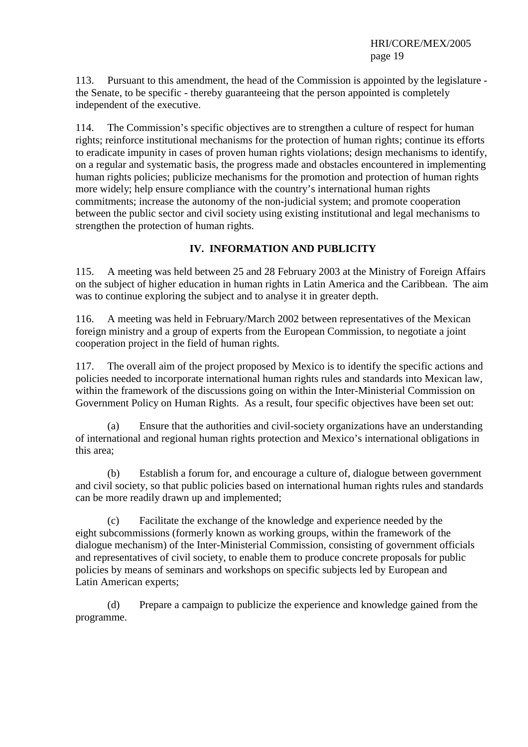113. Pursuant to this amendment, the head of the Commission is appointed by the legislature the Senate, to be specific - thereby guaranteeing that the person appointed is completely independent of the executive.

114. The Commission's specific objectives are to strengthen a culture of respect for human rights; reinforce institutional mechanisms for the protection of human rights; continue its efforts to eradicate impunity in cases of proven human rights violations; design mechanisms to identify, on a regular and systematic basis, the progress made and obstacles encountered in implementing human rights policies; publicize mechanisms for the promotion and protection of human rights more widely; help ensure compliance with the country's international human rights commitments; increase the autonomy of the non-judicial system; and promote cooperation between the public sector and civil society using existing institutional and legal mechanisms to strengthen the protection of human rights.

## **IV. INFORMATION AND PUBLICITY**

115. A meeting was held between 25 and 28 February 2003 at the Ministry of Foreign Affairs on the subject of higher education in human rights in Latin America and the Caribbean. The aim was to continue exploring the subject and to analyse it in greater depth.

116. A meeting was held in February/March 2002 between representatives of the Mexican foreign ministry and a group of experts from the European Commission, to negotiate a joint cooperation project in the field of human rights.

117. The overall aim of the project proposed by Mexico is to identify the specific actions and policies needed to incorporate international human rights rules and standards into Mexican law, within the framework of the discussions going on within the Inter-Ministerial Commission on Government Policy on Human Rights. As a result, four specific objectives have been set out:

 (a) Ensure that the authorities and civil-society organizations have an understanding of international and regional human rights protection and Mexico's international obligations in this area;

 (b) Establish a forum for, and encourage a culture of, dialogue between government and civil society, so that public policies based on international human rights rules and standards can be more readily drawn up and implemented;

 (c) Facilitate the exchange of the knowledge and experience needed by the eight subcommissions (formerly known as working groups, within the framework of the dialogue mechanism) of the Inter-Ministerial Commission, consisting of government officials and representatives of civil society, to enable them to produce concrete proposals for public policies by means of seminars and workshops on specific subjects led by European and Latin American experts;

 (d) Prepare a campaign to publicize the experience and knowledge gained from the programme.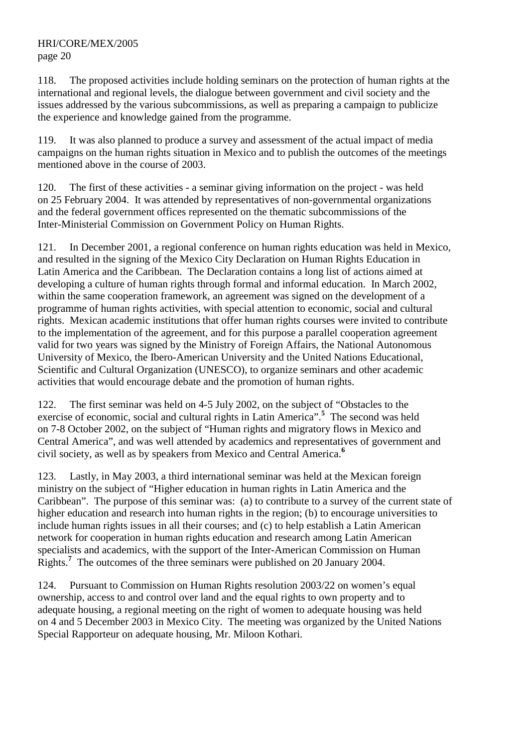118. The proposed activities include holding seminars on the protection of human rights at the international and regional levels, the dialogue between government and civil society and the issues addressed by the various subcommissions, as well as preparing a campaign to publicize the experience and knowledge gained from the programme.

119. It was also planned to produce a survey and assessment of the actual impact of media campaigns on the human rights situation in Mexico and to publish the outcomes of the meetings mentioned above in the course of 2003.

120. The first of these activities - a seminar giving information on the project - was held on 25 February 2004. It was attended by representatives of non-governmental organizations and the federal government offices represented on the thematic subcommissions of the Inter-Ministerial Commission on Government Policy on Human Rights.

121. In December 2001, a regional conference on human rights education was held in Mexico, and resulted in the signing of the Mexico City Declaration on Human Rights Education in Latin America and the Caribbean. The Declaration contains a long list of actions aimed at developing a culture of human rights through formal and informal education. In March 2002, within the same cooperation framework, an agreement was signed on the development of a programme of human rights activities, with special attention to economic, social and cultural rights. Mexican academic institutions that offer human rights courses were invited to contribute to the implementation of the agreement, and for this purpose a parallel cooperation agreement valid for two years was signed by the Ministry of Foreign Affairs, the National Autonomous University of Mexico, the Ibero-American University and the United Nations Educational, Scientific and Cultural Organization (UNESCO), to organize seminars and other academic activities that would encourage debate and the promotion of human rights.

122. The first seminar was held on 4-5 July 2002, on the subject of "Obstacles to the exercise of economic, social and cultural rights in Latin America".**<sup>5</sup>** The second was held on 7-8 October 2002, on the subject of "Human rights and migratory flows in Mexico and Central America", and was well attended by academics and representatives of government and civil society, as well as by speakers from Mexico and Central America.**<sup>6</sup>**

123. Lastly, in May 2003, a third international seminar was held at the Mexican foreign ministry on the subject of "Higher education in human rights in Latin America and the Caribbean". The purpose of this seminar was: (a) to contribute to a survey of the current state of higher education and research into human rights in the region; (b) to encourage universities to include human rights issues in all their courses; and (c) to help establish a Latin American network for cooperation in human rights education and research among Latin American specialists and academics, with the support of the Inter-American Commission on Human Rights.<sup>7</sup> The outcomes of the three seminars were published on 20 January 2004.

124. Pursuant to Commission on Human Rights resolution 2003/22 on women's equal ownership, access to and control over land and the equal rights to own property and to adequate housing, a regional meeting on the right of women to adequate housing was held on 4 and 5 December 2003 in Mexico City. The meeting was organized by the United Nations Special Rapporteur on adequate housing, Mr. Miloon Kothari.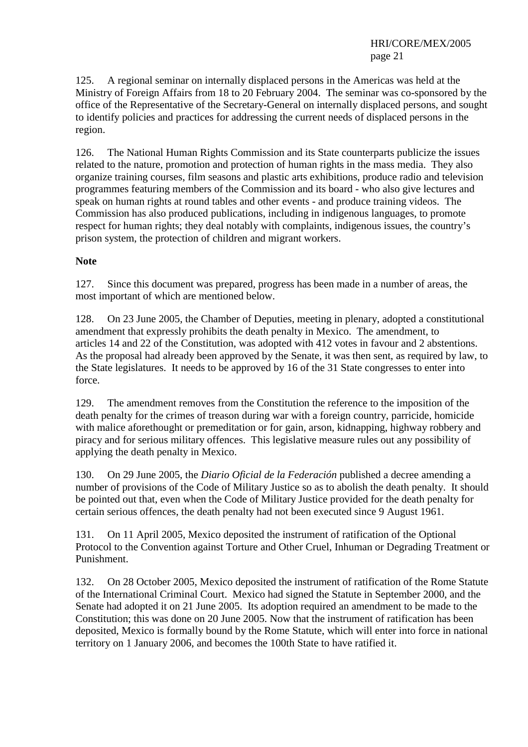125. A regional seminar on internally displaced persons in the Americas was held at the Ministry of Foreign Affairs from 18 to 20 February 2004. The seminar was co-sponsored by the office of the Representative of the Secretary-General on internally displaced persons, and sought to identify policies and practices for addressing the current needs of displaced persons in the region.

126. The National Human Rights Commission and its State counterparts publicize the issues related to the nature, promotion and protection of human rights in the mass media. They also organize training courses, film seasons and plastic arts exhibitions, produce radio and television programmes featuring members of the Commission and its board - who also give lectures and speak on human rights at round tables and other events - and produce training videos. The Commission has also produced publications, including in indigenous languages, to promote respect for human rights; they deal notably with complaints, indigenous issues, the country's prison system, the protection of children and migrant workers.

#### **Note**

127. Since this document was prepared, progress has been made in a number of areas, the most important of which are mentioned below.

128. On 23 June 2005, the Chamber of Deputies, meeting in plenary, adopted a constitutional amendment that expressly prohibits the death penalty in Mexico. The amendment, to articles 14 and 22 of the Constitution, was adopted with 412 votes in favour and 2 abstentions. As the proposal had already been approved by the Senate, it was then sent, as required by law, to the State legislatures. It needs to be approved by 16 of the 31 State congresses to enter into force.

129. The amendment removes from the Constitution the reference to the imposition of the death penalty for the crimes of treason during war with a foreign country, parricide, homicide with malice aforethought or premeditation or for gain, arson, kidnapping, highway robbery and piracy and for serious military offences. This legislative measure rules out any possibility of applying the death penalty in Mexico.

130. On 29 June 2005, the *Diario Oficial de la Federación* published a decree amending a number of provisions of the Code of Military Justice so as to abolish the death penalty. It should be pointed out that, even when the Code of Military Justice provided for the death penalty for certain serious offences, the death penalty had not been executed since 9 August 1961.

131. On 11 April 2005, Mexico deposited the instrument of ratification of the Optional Protocol to the Convention against Torture and Other Cruel, Inhuman or Degrading Treatment or Punishment.

132. On 28 October 2005, Mexico deposited the instrument of ratification of the Rome Statute of the International Criminal Court. Mexico had signed the Statute in September 2000, and the Senate had adopted it on 21 June 2005. Its adoption required an amendment to be made to the Constitution; this was done on 20 June 2005. Now that the instrument of ratification has been deposited, Mexico is formally bound by the Rome Statute, which will enter into force in national territory on 1 January 2006, and becomes the 100th State to have ratified it.